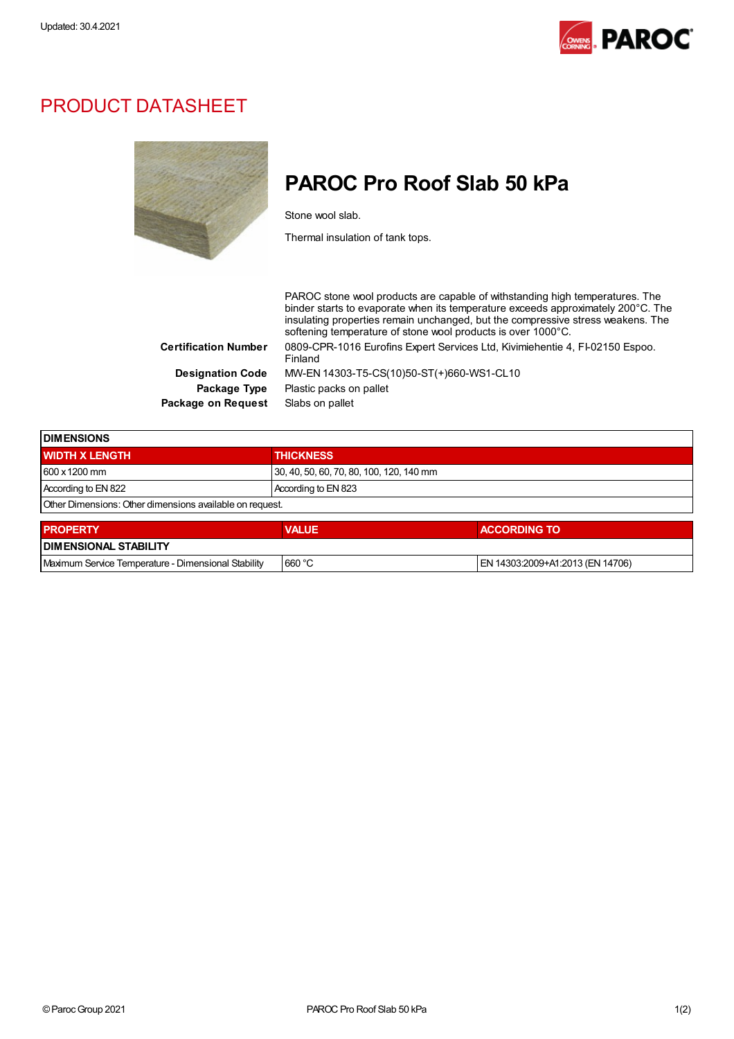

## PRODUCT DATASHEET



## PAROC Pro Roof Slab 50 kPa

Stone wool slab.

Thermal insulation of tank tops.

PAROC stone wool products are capable of withstanding high temperatures. The binder starts to evaporate when its temperature exceeds approximately 200°C. The insulating properties remain unchanged, but the compressive stress weakens. The softening temperature of stone wool products is over 1000°C. Certification Number 0809-CPR-1016 Eurofins Expert Services Ltd, Kivimiehentie 4, FI-02150 Espoo. Finland Designation Code MW-EN 14303-T5-CS(10)50-ST(+)660-WS1-CL10 Package Type Plastic packs on pallet Package on Request Slabs on pallet

| <b>DIMENSIONS</b>                                        |                     |                                          |  |  |
|----------------------------------------------------------|---------------------|------------------------------------------|--|--|
| <b>WIDTH X LENGTH</b>                                    | <b>THICKNESS</b>    |                                          |  |  |
| 600 x 1200 mm                                            |                     | 30, 40, 50, 60, 70, 80, 100, 120, 140 mm |  |  |
| According to EN 822                                      | According to EN 823 |                                          |  |  |
| Other Dimensions: Other dimensions available on request. |                     |                                          |  |  |
| <b>PROPERTY</b>                                          | <b>VALUE</b>        | <b>ACCORDING TO</b>                      |  |  |
| <b>DIMENSIONAL STABILITY</b>                             |                     |                                          |  |  |

| Maximum Service<br>Eremperature - Dimensional Stability | . 660 °C | 3:2009+A1:2013 (EN 14706) |  |  |
|---------------------------------------------------------|----------|---------------------------|--|--|